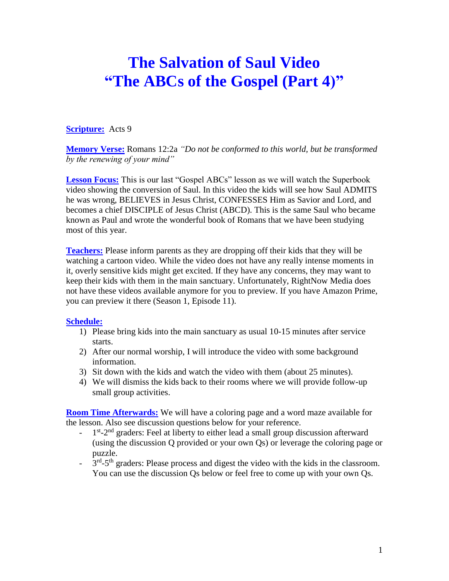## **The Salvation of Saul Video "The ABCs of the Gospel (Part 4)"**

## **Scripture:** Acts 9

**Memory Verse:** Romans 12:2a *"Do not be conformed to this world, but be transformed by the renewing of your mind"*

**Lesson Focus:** This is our last "Gospel ABCs" lesson as we will watch the Superbook video showing the conversion of Saul. In this video the kids will see how Saul ADMITS he was wrong, BELIEVES in Jesus Christ, CONFESSES Him as Savior and Lord, and becomes a chief DISCIPLE of Jesus Christ (ABCD). This is the same Saul who became known as Paul and wrote the wonderful book of Romans that we have been studying most of this year.

**Teachers:** Please inform parents as they are dropping off their kids that they will be watching a cartoon video. While the video does not have any really intense moments in it, overly sensitive kids might get excited. If they have any concerns, they may want to keep their kids with them in the main sanctuary. Unfortunately, RightNow Media does not have these videos available anymore for you to preview. If you have Amazon Prime, you can preview it there (Season 1, Episode 11).

## **Schedule:**

- 1) Please bring kids into the main sanctuary as usual 10-15 minutes after service starts.
- 2) After our normal worship, I will introduce the video with some background information.
- 3) Sit down with the kids and watch the video with them (about 25 minutes).
- 4) We will dismiss the kids back to their rooms where we will provide follow-up small group activities.

**Room Time Afterwards:** We will have a coloring page and a word maze available for the lesson. Also see discussion questions below for your reference.

- $-1$ <sup>st</sup>-2<sup>nd</sup> graders: Feel at liberty to either lead a small group discussion afterward (using the discussion Q provided or your own Qs) or leverage the coloring page or puzzle.
- $-3<sup>rd</sup> 5<sup>th</sup>$  graders: Please process and digest the video with the kids in the classroom. You can use the discussion Qs below or feel free to come up with your own Qs.